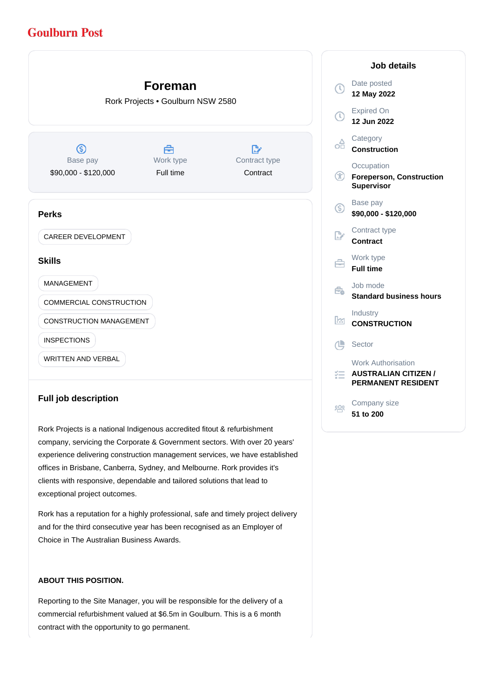# **Goulburn Post**



# **Full job description**

Rork Projects is a national Indigenous accredited fitout & refurbishment company, servicing the Corporate & Government sectors. With over 20 years' experience delivering construction management services, we have established offices in Brisbane, Canberra, Sydney, and Melbourne. Rork provides it's clients with responsive, dependable and tailored solutions that lead to exceptional project outcomes.

Rork has a reputation for a highly professional, safe and timely project delivery and for the third consecutive year has been recognised as an Employer of Choice in The Australian Business Awards.

### **ABOUT THIS POSITION.**

Reporting to the Site Manager, you will be responsible for the delivery of a commercial refurbishment valued at \$6.5m in Goulburn. This is a 6 month contract with the opportunity to go permanent.

|                         | <b>Job details</b>                                                                    |
|-------------------------|---------------------------------------------------------------------------------------|
| T,                      | Date posted<br>12 May 2022                                                            |
| $\overline{\mathbb{O}}$ | <b>Expired On</b><br>12 Jun 2022                                                      |
| oA                      | Category<br><b>Construction</b>                                                       |
| ⊕                       | Occupation<br><b>Foreperson, Construction</b><br><b>Supervisor</b>                    |
| ⑤                       | Base pay<br>\$90,000 - \$120,000                                                      |
| $\mathbb{R}^n$          | Contract type<br>Contract                                                             |
| ⇔                       | Work type<br><b>Full time</b>                                                         |
| Êò                      | Job mode<br><b>Standard business hours</b>                                            |
| k                       | Industry<br><b>CONSTRUCTION</b>                                                       |
| 凸                       | Sector                                                                                |
| ≔                       | <b>Work Authorisation</b><br><b>AUSTRALIAN CITIZEN /</b><br><b>PERMANENT RESIDENT</b> |
| းပ္တစ္ခ                 | Company size<br>51 to 200                                                             |